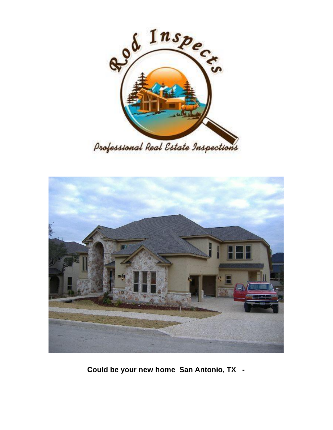



**Could be your new home San Antonio, TX -**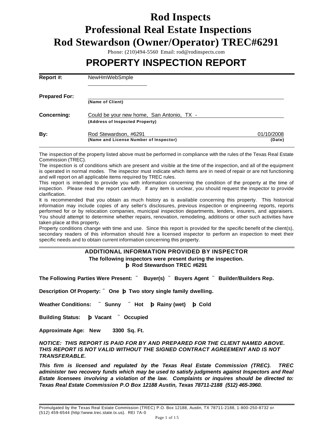# **Rod Inspects Professional Real Estate Inspections Rod Stewardson (Owner/Operator) TREC#6291**

Phone: (210)494-5560 Email: rod@rodinspects.com

# **PROPERTY INSPECTION REPORT**

| Report #:            | NewHmWebSmple                                                                |                      |
|----------------------|------------------------------------------------------------------------------|----------------------|
| <b>Prepared For:</b> | (Name of Client)                                                             |                      |
| <b>Concerning:</b>   | Could be your new home, San Antonio, TX -<br>(Address of Inspected Property) |                      |
| By:                  | Rod Stewardson, #6291<br>(Name and License Number of Inspector)              | 01/10/2008<br>(Date) |

The inspection of the property listed above must be performed in compliance with the rules of the Texas Real Estate Commission (TREC).

The inspection is of conditions which are present and visible at the time of the inspection, and all of the equipment is operated in normal modes. The inspector must indicate which items are in need of repair or are not functioning and will report on all applicable items required by TREC rules.

This report is intended to provide you with information concerning the condition of the property at the time of inspection. Please read the report carefully. If any item is unclear, you should request the inspector to provide clarification.

It is recommended that you obtain as much history as is available concerning this property. This historical information may include copies of any seller's disclosures, previous inspection or engineering reports, reports performed for or by relocation companies, municipal inspection departments, lenders, insurers, and appraisers. You should attempt to determine whether repairs, renovation, remodeling, additions or other such activities have taken place at this property.

Property conditions change with time and use. Since this report is provided for the specific benefit of the client(s), secondary readers of this information should hire a licensed inspector to perform an inspection to meet their specific needs and to obtain current information concerning this property.

#### **ADDITIONAL INFORMATION PROVIDED BY INSPECTOR The following inspectors were present during the inspection. þ Rod Stewardson TREC #6291**

**The Following Parties Were Present: ¨ Buyer(s) ¨ Buyers Agent ¨ Builder/Builders Rep.**

**Description Of Property: ¨ One þ Two story single family dwelling.**

**Weather Conditions: ¨ Sunny ¨ Hot þ Rainy (wet) þ Cold**

**Building Status: þ Vacant ¨ Occupied**

**Approximate Age: New 3300 Sq. Ft.**

#### *NOTICE: THIS REPORT IS PAID FOR BY AND PREPARED FOR THE CLIENT NAMED ABOVE. THIS REPORT IS NOT VALID WITHOUT THE SIGNED CONTRACT AGREEMENT AND IS NOT TRANSFERABLE.*

*This firm is licensed and regulated by the Texas Real Estate Commission (TREC). TREC administer two recovery funds which may be used to satisfy judgments against Inspectors and Real Estate licensees involving a violation of the law. Complaints or inquires should be directed to: Texas Real Estate Commission P.O Box 12188 Austin, Texas 78711-2188 (512) 465-3960.*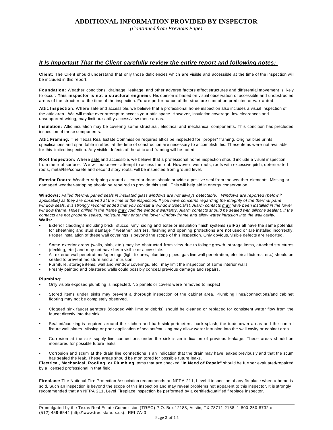#### **ADDITIONAL INFORMATION PROVIDED BY INSPECTOR**

*(Continued from Previous Page)*

#### *It Is Important That the Client carefully review the entire report and following notes:*

**Client:** The Client should understand that only those deficiencies which are visible and accessible at the time of the inspection will be included in this report.

**Foundation:** Weather conditions, drainage, leakage, and other adverse factors effect structures and differential movement is likely to occur. **This inspector is not a structural engineer.** His opinion is based on visual observation of accessible and unobstructed areas of the structure at the time of the inspection. Future performance of the structure cannot be predicted or warranted.

**Attic Inspection:** Where safe and accessible, we believe that a professional home inspection also includes a visual inspection of the attic area. We will make ever attempt to access your attic space. However, insulation coverage, low clearances and unsupported wiring, may limit our ability access/view these areas.

**Insulation:** Attic insulation may be covering some structural, electrical and mechanical components. This condition has precluded inspection of these components.

**Attic Framing:** The Texas Real Estate Commission requires attics be inspected for "proper" framing. Original blue prints, specifications and span table in effect at the time of construction are necessary to accomplish this. These items were not available for this limited inspection. Any visible defects of the attic and framing will be noted.

**Roof Inspection:** Where safe and accessible, we believe that a professional home inspection should include a visual inspection from the roof surface. We will make ever attempt to access the roof. However, wet roofs, roofs with excessive pitch, deteriorated roofs, metal/tile/concrete and second story roofs, will be inspected from ground level.

**Exterior Doors:** Weather-stripping around all exterior doors should provide a positive seal from the weather elements. Missing or damaged weather-stripping should be repaired to provide this seal. This will help aid in energy conservation.

**Windows:** *Failed thermal paned seals in insulated glass windows are not always detectable. Windows are reported (below if applicable) as they are observed at the time of the inspection. If you have concerns regarding the integrity of the thermal pane window seals, it is strongly recommended that you consult a Window Specialist. Alarm contacts may have been installed in the lower window frame. Holes drilled in the frame may void the window warranty. Alarm contacts should be sealed with silicone sealant. If the contacts are not properly sealed, moisture may enter the lower window frame and allow water intrusion into the wall cavity.* **Walls:** 

- Exterior cladding's including brick, stucco, vinyl siding and exterior insulation finish systems (EIFS) all have the same potential for sheathing and stud damage if weather barriers, flashing and opening protections are not used or are installed incorrectly. Proper installation of these wall coverings is beyond the scope of this inspection. Only obvious, visible defects are reported.
- Some exterior areas (walls, slab, etc.) may be obstructed from view due to foliage growth, storage items, attached structures (decking, etc.) and may not have been visible or accessible.
- All exterior wall penetrations/openings (light fixtures, plumbing pipes, gas line wall penetration, electrical fixtures, etc.) should be sealed to prevent moisture and air intrusion.
- Furniture, storage items, wall and window coverings, etc., may limit the inspection of some interior walls.
- Freshly painted and plastered walls could possibly conceal previous damage and repairs.

#### **Plumbing:**

- Only visible exposed plumbing is inspected. No panels or covers were removed to inspect
- Stored items under sinks may prevent a thorough inspection of the cabinet area. Plumbing lines/connections/and cabinet flooring may not be completely observed.
- Clogged sink faucet aerators (clogged with lime or debris) should be cleaned or replaced for consistent water flow from the faucet directly into the sink.
- Sealant/caulking is required around the kitchen and bath sink perimeters, back-splash, the tub/shower areas and the control fixture wall plates. Missing or poor application of sealant/caulking may allow water intrusion into the wall cavity or cabinet area.
- Corrosion at the sink supply line connections under the sink is an indication of previous leakage. These areas should be monitored for possible future leaks.
- Corrosion and scum at the drain line connections is an indication that the drain may have leaked previously and that the scum has sealed the leak. These areas should be monitored for possible future leaks.

**Electrical, Mechanical, Roofing, or Plumbing** items that are checked **"In Need of Repair"** should be further evaluated/repaired by a licensed professional in that field.

**Fireplace:** The National Fire Protection Association recommends an NFPA-211, Level II inspection of any fireplace when a home is sold. Such an inspection is beyond the scope of this inspection and may reveal problems not apparent to this inspector. It is strongly recommended that an NFPA 211, Level Fireplace inspection be performed by a certified/qualified fireplace inspector.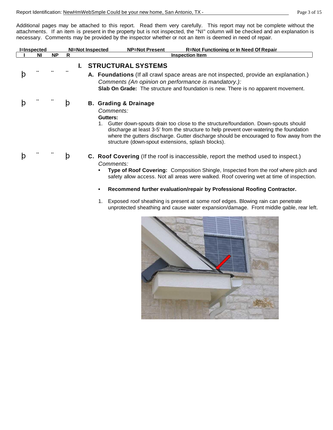Additional pages may be attached to this report. Read them very carefully. This report may not be complete without the attachments. If an item is present in the property but is not inspected, the "NI" column will be checked and an explanation is necessary. Comments may be provided by the inspector whether or not an item is deemed in need of repair.

| <b>NI=Not Inspected</b><br><b>NP=Not Present</b><br><b>R=Not Functioning or In Need Of Repair</b><br><b>I=Inspected</b> |    |           |   |           |                                                                                                    |                                                                                                                                                                                                                                                                                                                                                         |
|-------------------------------------------------------------------------------------------------------------------------|----|-----------|---|-----------|----------------------------------------------------------------------------------------------------|---------------------------------------------------------------------------------------------------------------------------------------------------------------------------------------------------------------------------------------------------------------------------------------------------------------------------------------------------------|
|                                                                                                                         | ΝI | <b>NP</b> | R |           |                                                                                                    | <b>Inspection Item</b>                                                                                                                                                                                                                                                                                                                                  |
|                                                                                                                         |    |           |   |           | <b>STRUCTURAL SYSTEMS</b>                                                                          | A. Foundations (If all crawl space areas are not inspected, provide an explanation.)                                                                                                                                                                                                                                                                    |
|                                                                                                                         |    |           |   |           |                                                                                                    | Comments (An opinion on performance is mandatory.):<br><b>Slab On Grade:</b> The structure and foundation is new. There is no apparent movement.                                                                                                                                                                                                        |
|                                                                                                                         |    |           | Þ | Gutters:  | <b>B. Grading &amp; Drainage</b><br>Comments:<br>structure (down-spout extensions, splash blocks). | Gutter down-spouts drain too close to the structure/foundation. Down-spouts should<br>discharge at least 3-5' from the structure to help prevent over-watering the foundation<br>where the gutters discharge. Gutter discharge should be encouraged to flow away from the                                                                               |
|                                                                                                                         |    |           | þ | Comments: |                                                                                                    | <b>C.</b> Roof Covering (If the roof is inaccessible, report the method used to inspect.)<br>Type of Roof Covering: Composition Shingle, Inspected from the roof where pitch and<br>safety allow access. Not all areas were walked. Roof covering wet at time of inspection.<br>Recommend further evaluation/repair by Professional Roofing Contractor. |

1. Exposed roof sheathing is present at some roof edges. Blowing rain can penetrate unprotected sheathing and cause water expansion/damage. Front middle gable, rear left.

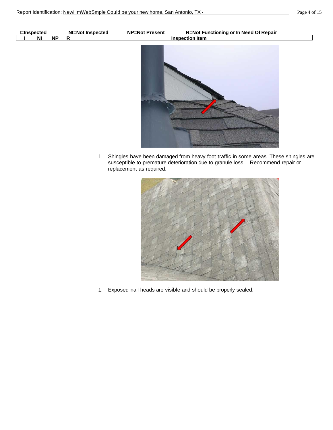| <b>I=Inspected</b> |    | <b>NI=Not Inspected</b> | <b>NP=Not Present</b> | <b>R=Not Functioning or In Need Of Repair</b> |
|--------------------|----|-------------------------|-----------------------|-----------------------------------------------|
| N <sub>1</sub>     | NP | $\mathsf{R}$            |                       | <b>Inspection Item</b>                        |
|                    |    |                         |                       |                                               |

1. Shingles have been damaged from heavy foot traffic in some areas. These shingles are susceptible to premature deterioration due to granule loss. Recommend repair or replacement as required.



1. Exposed nail heads are visible and should be properly sealed.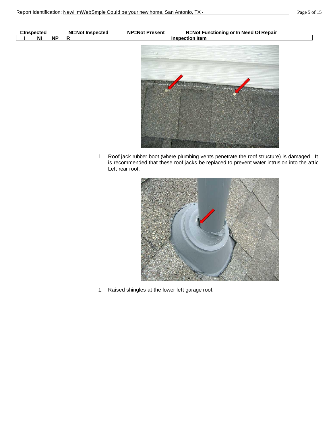| <b>I</b> =Inspected |                |    | <b>NI=Not Inspected</b> | <b>NP=Not Present</b> | <b>R=Not Functioning or In Need Of Repair</b>                                  |
|---------------------|----------------|----|-------------------------|-----------------------|--------------------------------------------------------------------------------|
|                     | N <sub>1</sub> | NP | $\mathbf R$             |                       | <b>Inspection Item</b>                                                         |
|                     |                |    |                         |                       |                                                                                |
|                     |                |    |                         |                       |                                                                                |
|                     |                |    |                         |                       |                                                                                |
|                     |                |    |                         |                       |                                                                                |
|                     |                |    |                         | <b>ANGELINAS AN</b>   |                                                                                |
|                     |                |    |                         |                       | <b>CHANGE COMMERCIAL</b><br><b><i>Contact P</i></b><br><b>The Secretary of</b> |
|                     |                |    |                         |                       |                                                                                |
|                     |                |    |                         |                       |                                                                                |
|                     |                |    |                         |                       |                                                                                |
|                     |                |    |                         |                       |                                                                                |

1. Roof jack rubber boot (where plumbing vents penetrate the roof structure) is damaged . It is recommended that these roof jacks be replaced to prevent water intrusion into the attic. Left rear roof.



1. Raised shingles at the lower left garage roof.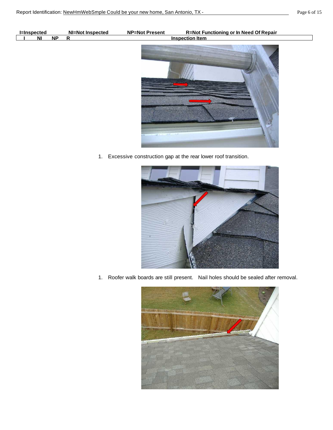| <b>I</b> =Inspected |    |           | <b>NI=Not Inspected</b> | <b>NP=Not Present</b> | <b>R=Not Functioning or In Need Of Repair</b> |
|---------------------|----|-----------|-------------------------|-----------------------|-----------------------------------------------|
|                     | ΝI | <b>NP</b> | Ð                       |                       | <b>Inspection Item</b>                        |
|                     |    |           |                         |                       |                                               |

- 
- 1. Excessive construction gap at the rear lower roof transition.



1. Roofer walk boards are still present. Nail holes should be sealed after removal.

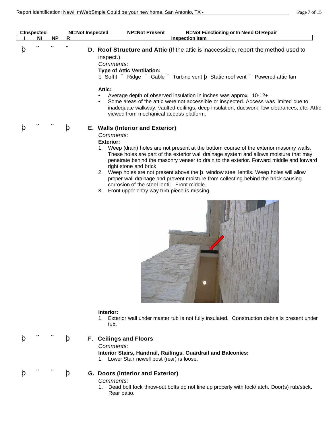| <b>I</b> =Inspected |           | NI=Not Inspected | <b>NP=Not Present</b>                                                                                                               | <b>R=Not Functioning or In Need Of Repair</b>                                                                                                                                                                                                                                |
|---------------------|-----------|------------------|-------------------------------------------------------------------------------------------------------------------------------------|------------------------------------------------------------------------------------------------------------------------------------------------------------------------------------------------------------------------------------------------------------------------------|
| ΝI                  | <b>NP</b> | R                | <b>Inspection Item</b>                                                                                                              |                                                                                                                                                                                                                                                                              |
|                     |           |                  | inspect.)<br>Comments:<br><b>Type of Attic Ventilation:</b>                                                                         | <b>D.</b> Roof Structure and Attic (If the attic is inaccessible, report the method used to<br>b Soffit " Ridge " Gable " Turbine vent b Static roof vent " Powered attic fan                                                                                                |
|                     |           |                  | Attic:<br>Average depth of observed insulation in inches was approx. 10-12+<br>$\bullet$<br>viewed from mechanical access platform. | Some areas of the attic were not accessible or inspected. Access was limited due to<br>inadequate walkway, vaulted ceilings, deep insulation, ductwork, low clearances, etc. Attic                                                                                           |
|                     |           | þ                | E. Walls (Interior and Exterior)<br>Comments:<br><b>Exterior:</b><br>right stone and brick.                                         | Weep (drain) holes are not present at the bottom course of the exterior masonry walls.<br>These holes are part of the exterior wall drainage system and allows moisture that may<br>penetrate behind the masonry veneer to drain to the exterior. Forward middle and forward |

- 2. Weep holes are not present above the þ window steel lentils. Weep holes will allow proper wall drainage and prevent moisture from collecting behind the brick causing corrosion of the steel lentil. Front middle.
- 3. Front upper entry way trim piece is missing.



#### **Interior:**

1. Exterior wall under master tub is not fully insulated. Construction debris is present under tub.

#### þ ¨ ¨ þ **F. Ceilings and Floors**

*Comments:*

**Interior Stairs, Handrail, Railings, Guardrail and Balconies:** 1. Lower Stair newell post (rear) is loose.

# þ ¨ ¨ þ **G. Doors (Interior and Exterior)**

*Comments:*

1. Dead bolt lock throw-out bolts do not line up properly with lock/latch. Door(s) rub/stick. Rear patio.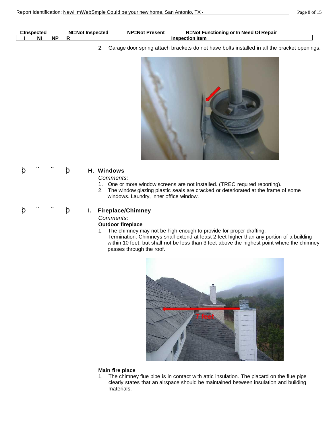| <b>I=Inspected</b> |     | NI=Not Inspected | <b>NP=Not Present</b> | <b>R=Not Functioning or In Need Of Repair</b> |
|--------------------|-----|------------------|-----------------------|-----------------------------------------------|
| N                  | .NF |                  |                       | <b>Inspection Item</b>                        |

2. Garage door spring attach brackets do not have bolts installed in all the bracket openings.



# þ ¨ ¨ þ **H. Windows**

#### *Comments:*

- 1. One or more window screens are not installed. (TREC required reporting).
- 2. The window glazing plastic seals are cracked or deteriorated at the frame of some windows. Laundry, inner office window.

$$
\mathbf{b} \quad \text{in} \quad \text{in} \quad \mathbf{b}
$$

# þ ¨ ¨ þ **I. Fireplace/Chimney**

#### *Comments:*

#### **Outdoor fireplace**

1. The chimney may not be high enough to provide for proper drafting. Termination. Chimneys shall extend at least 2 feet higher than any portion of a building within 10 feet, but shall not be less than 3 feet above the highest point where the chimney passes through the roof.



#### **Main fire place**

1. The chimney flue pipe is in contact with attic insulation. The placard on the flue pipe clearly states that an airspace should be maintained between insulation and building materials.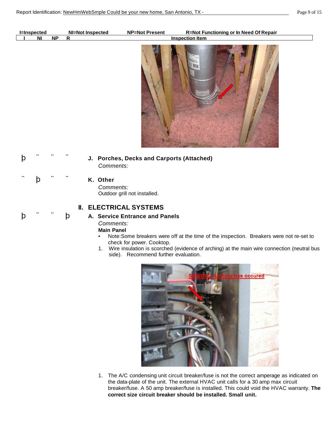| <b>I=Inspected</b> |           | NI=Not Inspected | <b>NP=Not Present</b> | <b>R=Not Functioning or In Need Of Repair</b> |
|--------------------|-----------|------------------|-----------------------|-----------------------------------------------|
| ΝI                 | <b>NF</b> |                  |                       | <b>Inspection Item</b>                        |
|                    |           |                  |                       |                                               |
|                    |           |                  |                       |                                               |



þ ¨ ¨ ¨ **J. Porches, Decks and Carports (Attached)**  *Comments:*

¨ þ ¨ ¨ **K. Other**  *Comments:*

Outdoor grill not installed.

# **II. ELECTRICAL SYSTEMS**

# þ ¨ ¨ þ **A. Service Entrance and Panels**

*Comments:*

# **Main Panel**

- Note:Some breakers were off at the time of the inspection. Breakers were not re-set to check for power. Cooktop.
- 1. Wire insulation is scorched (evidence of arching) at the main wire connection (neutral bus side). Recommend further evaluation.



1. The A/C condensing unit circuit breaker/fuse is not the correct amperage as indicated on the data-plate of the unit. The external HVAC unit calls for a 30 amp max circuit breaker/fuse. A 50 amp breaker/fuse is installed. This could void the HVAC warranty. **The correct size circuit breaker should be installed. Small unit.**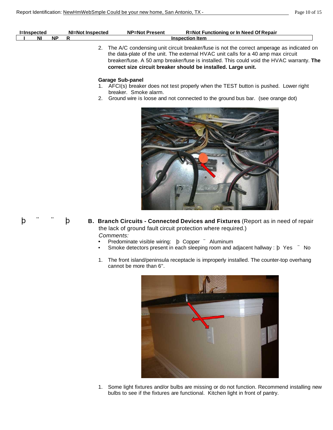|    |    | NI=Not Inspected | <b>NP=Not Present</b> | R=Not Functioning or In Need Of Repair |  |
|----|----|------------------|-----------------------|----------------------------------------|--|
| NI | NF |                  |                       | <b>Inspection Item</b>                 |  |
|    |    | --<br>$\sim$     |                       |                                        |  |

2. The A/C condensing unit circuit breaker/fuse is not the correct amperage as indicated on the data-plate of the unit. The external HVAC unit calls for a 40 amp max circuit breaker/fuse. A 50 amp breaker/fuse is installed. This could void the HVAC warranty. **The correct size circuit breaker should be installed. Large unit.**

#### **Garage Sub-panel**

- 1. AFCI(s) breaker does not test properly when the TEST button is pushed. Lower right breaker. Smoke alarm.
- 2. Ground wire is loose and not connected to the ground bus bar. (see orange dot)



$$
\mathsf{p} \quad ``\quad \mathsf{p}
$$

- **B.** Branch Circuits Connected Devices and Fixtures (Report as in need of repair the lack of ground fault circuit protection where required.) *Comments:*
	- Predominate visible wiring: þ Copper ¨ Aluminum
	- Smoke detectors present in each sleeping room and adjacent hallway : b Yes <sup>"</sup> No
	- 1. The front island/peninsula receptacle is improperly installed. The counter-top overhang cannot be more than 6".



1. Some light fixtures and/or bulbs are missing or do not function. Recommend installing new bulbs to see if the fixtures are functional. Kitchen light in front of pantry.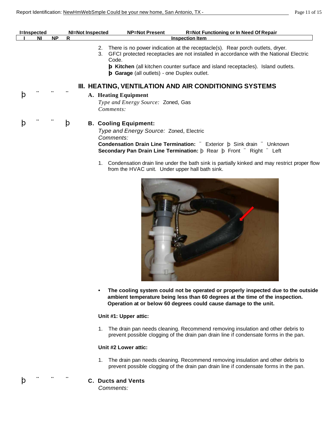| <b>I</b> =Inspected |           | NI=Not Inspected | <b>R=Not Functioning or In Need Of Repair</b><br><b>NP=Not Present</b>                                                                                                                                                                                                                                                                                                                                 |
|---------------------|-----------|------------------|--------------------------------------------------------------------------------------------------------------------------------------------------------------------------------------------------------------------------------------------------------------------------------------------------------------------------------------------------------------------------------------------------------|
| ΝI                  | <b>NP</b> | R                | <b>Inspection Item</b>                                                                                                                                                                                                                                                                                                                                                                                 |
|                     |           | 2.<br>3.         | There is no power indication at the receptacle(s). Rear porch outlets, dryer.<br>GFCI protected receptacles are not installed in accordance with the National Electric<br>Code.<br>b Kitchen (all kitchen counter surface and island receptacles). Island outlets.<br>$\mathbf b$ Garage (all outlets) - one Duplex outlet.                                                                            |
|                     |           |                  | III. HEATING, VENTILATION AND AIR CONDITIONING SYSTEMS                                                                                                                                                                                                                                                                                                                                                 |
|                     |           |                  | A. Heating Equipment<br>Type and Energy Source: Zoned, Gas<br>Comments:                                                                                                                                                                                                                                                                                                                                |
|                     |           | Þ<br>1.          | <b>B. Cooling Equipment:</b><br>Type and Energy Source: Zoned, Electric<br>Comments:<br><b>Condensation Drain Line Termination:</b> " Exterior b Sink drain " Unknown<br><b>Secondary Pan Drain Line Termination:</b> b Rear b Front " Right " Left<br>Condensation drain line under the bath sink is partially kinked and may restrict proper flow<br>from the HVAC unit. Under upper hall bath sink. |



**• The cooling system could not be operated or properly inspected due to the outside ambient temperature being less than 60 degrees at the time of the inspection. Operation at or below 60 degrees could cause damage to the unit.**

#### **Unit #1: Upper attic:**

1. The drain pan needs cleaning. Recommend removing insulation and other debris to prevent possible clogging of the drain pan drain line if condensate forms in the pan.

#### **Unit #2 Lower attic:**

1. The drain pan needs cleaning. Recommend removing insulation and other debris to prevent possible clogging of the drain pan drain line if condensate forms in the pan.

### þ ¨ ¨ ¨ **C. Ducts and Vents**

*Comments:*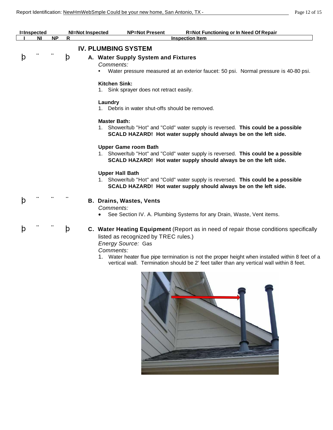|   | <b>I</b> =Inspected |           |   | <b>NP=Not Present</b><br><b>R=Not Functioning or In Need Of Repair</b><br><b>NI=Not Inspected</b>                                                                                                                                                                                                                                                              |  |
|---|---------------------|-----------|---|----------------------------------------------------------------------------------------------------------------------------------------------------------------------------------------------------------------------------------------------------------------------------------------------------------------------------------------------------------------|--|
|   | NI                  | <b>NP</b> | R | <b>Inspection Item</b>                                                                                                                                                                                                                                                                                                                                         |  |
|   |                     |           |   | <b>IV. PLUMBING SYSTEM</b>                                                                                                                                                                                                                                                                                                                                     |  |
| þ |                     |           | þ | A. Water Supply System and Fixtures<br>Comments:<br>Water pressure measured at an exterior faucet: 50 psi. Normal pressure is 40-80 psi.<br>$\bullet$                                                                                                                                                                                                          |  |
|   |                     |           |   | <b>Kitchen Sink:</b><br>Sink sprayer does not retract easily.                                                                                                                                                                                                                                                                                                  |  |
|   |                     |           |   | Laundry<br>1. Debris in water shut-offs should be removed.                                                                                                                                                                                                                                                                                                     |  |
|   |                     |           |   | <b>Master Bath:</b><br>1. Shower/tub "Hot" and "Cold" water supply is reversed. This could be a possible<br>SCALD HAZARD! Hot water supply should always be on the left side.                                                                                                                                                                                  |  |
|   |                     |           |   | <b>Upper Game room Bath</b><br>1. Shower/tub "Hot" and "Cold" water supply is reversed. This could be a possible<br>SCALD HAZARD! Hot water supply should always be on the left side.                                                                                                                                                                          |  |
|   |                     |           |   | <b>Upper Hall Bath</b><br>1. Shower/tub "Hot" and "Cold" water supply is reversed. This could be a possible<br>SCALD HAZARD! Hot water supply should always be on the left side.                                                                                                                                                                               |  |
| þ |                     |           |   | <b>B. Drains, Wastes, Vents</b><br>Comments:<br>See Section IV. A. Plumbing Systems for any Drain, Waste, Vent items.                                                                                                                                                                                                                                          |  |
| þ |                     |           | þ | C. Water Heating Equipment (Report as in need of repair those conditions specifically<br>listed as recognized by TREC rules.)<br>Energy Source: Gas<br>Comments:<br>Water heater flue pipe termination is not the proper height when installed within 8 feet of a<br>vertical wall. Termination should be 2' feet taller than any vertical wall within 8 feet. |  |
|   |                     |           |   |                                                                                                                                                                                                                                                                                                                                                                |  |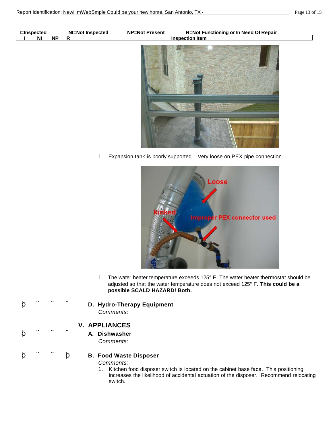| <b>I=Inspected</b>   | <b>NI=Not Inspected</b> | <b>NP=Not Present</b> | <b>R=Not Functioning or In Need Of Repair</b> |
|----------------------|-------------------------|-----------------------|-----------------------------------------------|
| NP<br>N <sub>1</sub> | R.                      |                       | <b>Inspection Item</b>                        |
|                      |                         |                       |                                               |

1. Expansion tank is poorly supported. Very loose on PEX pipe connection.



- 1. The water heater temperature exceeds 125° F. The water heater thermostat should be adjusted so that the water temperature does not exceed 125° F. **This could be a possible SCALD HAZARD! Both.**
- þ ¨ ¨ ¨ **D. Hydro-Therapy Equipment**  *Comments:*

# **V. APPLIANCES**

þ ¨ ¨ ¨ **A. Dishwasher**  *Comments:*

#### þ ¨ ¨ þ **B. Food Waste Disposer**

*Comments:*

1. Kitchen food disposer switch is located on the cabinet base face. This positioning increases the likelihood of accidental actuation of the disposer. Recommend relocating switch.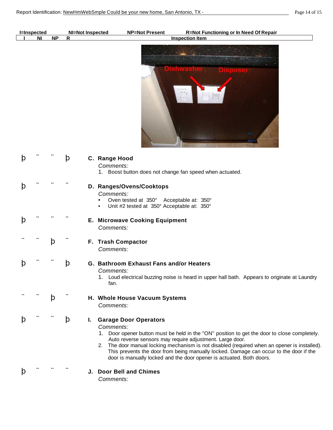|              | <b>I=Inspected</b><br><b>NI</b> | <b>NP</b> | R            | <b>R=Not Functioning or In Need Of Repair</b><br>NI=Not Inspected<br><b>Inspection Item</b>                                                                                                                                                                                                                                                                                                                                                                                   |
|--------------|---------------------------------|-----------|--------------|-------------------------------------------------------------------------------------------------------------------------------------------------------------------------------------------------------------------------------------------------------------------------------------------------------------------------------------------------------------------------------------------------------------------------------------------------------------------------------|
|              |                                 |           |              | off or                                                                                                                                                                                                                                                                                                                                                                                                                                                                        |
| $\mathbf{b}$ |                                 |           | $\mathbf{p}$ | C. Range Hood<br>Comments:<br>1. Boost button does not change fan speed when actuated.                                                                                                                                                                                                                                                                                                                                                                                        |
| $\mathbf b$  |                                 |           |              | D. Ranges/Ovens/Cooktops<br>Comments:<br>Oven tested at 350° Acceptable at: 350°<br>Unit #2 tested at 350° Acceptable at: 350°                                                                                                                                                                                                                                                                                                                                                |
| þ            |                                 |           |              | <b>E. Microwave Cooking Equipment</b><br>Comments:                                                                                                                                                                                                                                                                                                                                                                                                                            |
|              |                                 | þ         |              | F. Trash Compactor<br>Comments:                                                                                                                                                                                                                                                                                                                                                                                                                                               |
| þ            |                                 |           | þ            | G. Bathroom Exhaust Fans and/or Heaters<br>Comments:<br>1. Loud electrical buzzing noise is heard in upper hall bath. Appears to originate at Laundry<br>fan.                                                                                                                                                                                                                                                                                                                 |
|              |                                 | þ         |              | H. Whole House Vacuum Systems<br>Comments:                                                                                                                                                                                                                                                                                                                                                                                                                                    |
| þ            |                                 |           | þ            | <b>Garage Door Operators</b><br>L.<br>Comments:<br>1. Door opener button must be held in the "ON" position to get the door to close completely.<br>Auto reverse sensors may require adjustment. Large door.<br>2. The door manual locking mechanism is not disabled (required when an opener is installed).<br>This prevents the door from being manually locked. Damage can occur to the door if the<br>door is manually locked and the door opener is actuated. Both doors. |
| þ            |                                 |           |              | J. Door Bell and Chimes<br>Comments:                                                                                                                                                                                                                                                                                                                                                                                                                                          |